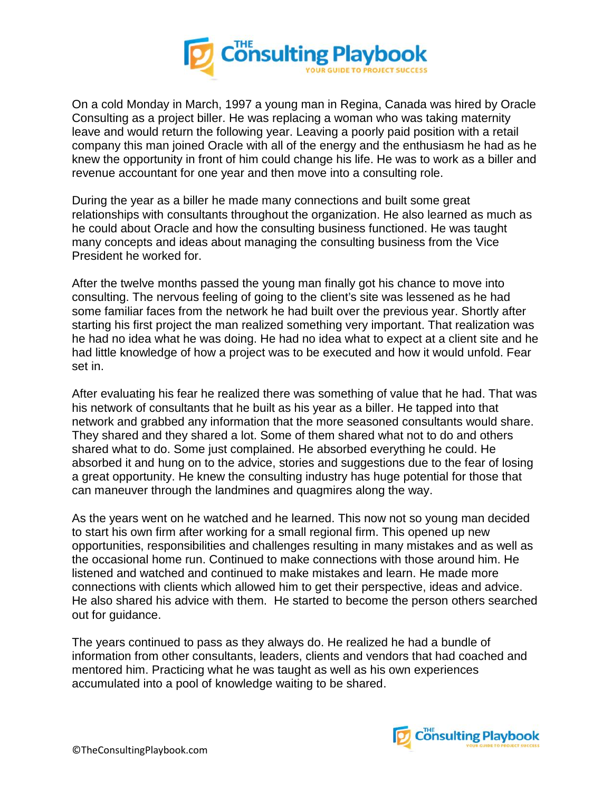

On a cold Monday in March, 1997 a young man in Regina, Canada was hired by Oracle Consulting as a project biller. He was replacing a woman who was taking maternity leave and would return the following year. Leaving a poorly paid position with a retail company this man joined Oracle with all of the energy and the enthusiasm he had as he knew the opportunity in front of him could change his life. He was to work as a biller and revenue accountant for one year and then move into a consulting role.

During the year as a biller he made many connections and built some great relationships with consultants throughout the organization. He also learned as much as he could about Oracle and how the consulting business functioned. He was taught many concepts and ideas about managing the consulting business from the Vice President he worked for.

After the twelve months passed the young man finally got his chance to move into consulting. The nervous feeling of going to the client's site was lessened as he had some familiar faces from the network he had built over the previous year. Shortly after starting his first project the man realized something very important. That realization was he had no idea what he was doing. He had no idea what to expect at a client site and he had little knowledge of how a project was to be executed and how it would unfold. Fear set in.

After evaluating his fear he realized there was something of value that he had. That was his network of consultants that he built as his year as a biller. He tapped into that network and grabbed any information that the more seasoned consultants would share. They shared and they shared a lot. Some of them shared what not to do and others shared what to do. Some just complained. He absorbed everything he could. He absorbed it and hung on to the advice, stories and suggestions due to the fear of losing a great opportunity. He knew the consulting industry has huge potential for those that can maneuver through the landmines and quagmires along the way.

As the years went on he watched and he learned. This now not so young man decided to start his own firm after working for a small regional firm. This opened up new opportunities, responsibilities and challenges resulting in many mistakes and as well as the occasional home run. Continued to make connections with those around him. He listened and watched and continued to make mistakes and learn. He made more connections with clients which allowed him to get their perspective, ideas and advice. He also shared his advice with them. He started to become the person others searched out for guidance.

The years continued to pass as they always do. He realized he had a bundle of information from other consultants, leaders, clients and vendors that had coached and mentored him. Practicing what he was taught as well as his own experiences accumulated into a pool of knowledge waiting to be shared.